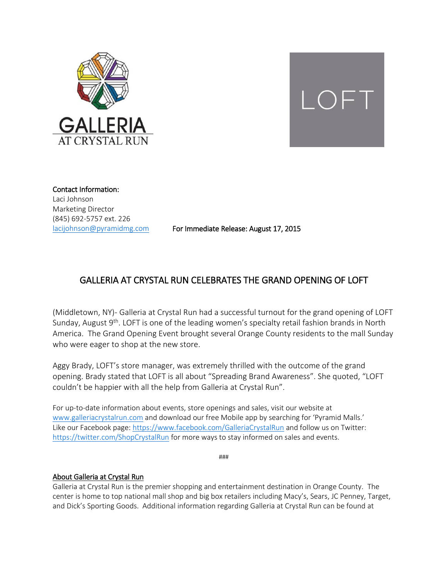



Contact Information: Laci Johnson Marketing Director (845) 692-5757 ext. 226

[lacijohnson@pyramidmg.com](mailto:lacijohnson@pyramidmg.com) For Immediate Release: August 17, 2015

## GALLERIA AT CRYSTAL RUN CELEBRATES THE GRAND OPENING OF LOFT

(Middletown, NY)- Galleria at Crystal Run had a successful turnout for the grand opening of LOFT Sunday, August 9<sup>th</sup>. LOFT is one of the leading women's specialty retail fashion brands in North America. The Grand Opening Event brought several Orange County residents to the mall Sunday who were eager to shop at the new store.

Aggy Brady, LOFT's store manager, was extremely thrilled with the outcome of the grand opening. Brady stated that LOFT is all about "Spreading Brand Awareness". She quoted, "LOFT couldn't be happier with all the help from Galleria at Crystal Run".

For up-to-date information about events, store openings and sales, visit our website at [www.galleriacrystalrun.com](http://www.galleriacrystalrun.com/) and download our free Mobile app by searching for 'Pyramid Malls.' Like our Facebook page:<https://www.facebook.com/GalleriaCrystalRun> and follow us on Twitter: <https://twitter.com/ShopCrystalRun> for more ways to stay informed on sales and events.

###

## About Galleria at Crystal Run

Galleria at Crystal Run is the premier shopping and entertainment destination in Orange County. The center is home to top national mall shop and big box retailers including Macy's, Sears, JC Penney, Target, and Dick's Sporting Goods. Additional information regarding Galleria at Crystal Run can be found at